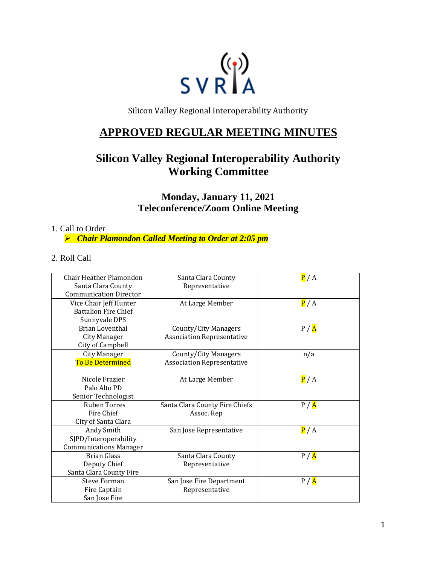

Silicon Valley Regional Interoperability Authority

## **APPROVED REGULAR MEETING MINUTES**

# **Silicon Valley Regional Interoperability Authority Working Committee**

**Monday, January 11, 2021 Teleconference/Zoom Online Meeting**

#### 1. Call to Order

➢ *Chair Plamondon Called Meeting to Order at 2:05 pm*

2. Roll Call

| Chair Heather Plamondon<br>Santa Clara County<br><b>Communication Director</b> | Santa Clara County<br>Representative                      | P/A   |
|--------------------------------------------------------------------------------|-----------------------------------------------------------|-------|
| Vice Chair Jeff Hunter<br><b>Battalion Fire Chief</b><br>Sunnyvale DPS         | At Large Member                                           | P/A   |
| <b>Brian Loventhal</b><br>City Manager<br>City of Campbell                     | County/City Managers<br><b>Association Representative</b> | P / A |
| City Manager<br>To Be Determined                                               | County/City Managers<br><b>Association Representative</b> | n/a   |
| Nicole Frazier<br>Palo Alto PD<br>Senior Technologist                          | At Large Member                                           | P/A   |
| <b>Ruben Torres</b><br>Fire Chief<br>City of Santa Clara                       | Santa Clara County Fire Chiefs<br>Assoc. Rep              | P / A |
| Andy Smith<br>SJPD/Interoperability<br><b>Communications Manager</b>           | San Jose Representative                                   | P/A   |
| <b>Brian Glass</b><br>Deputy Chief<br>Santa Clara County Fire                  | Santa Clara County<br>Representative                      | P / A |
| <b>Steve Forman</b><br>Fire Captain<br>San Jose Fire                           | San Jose Fire Department<br>Representative                | P / A |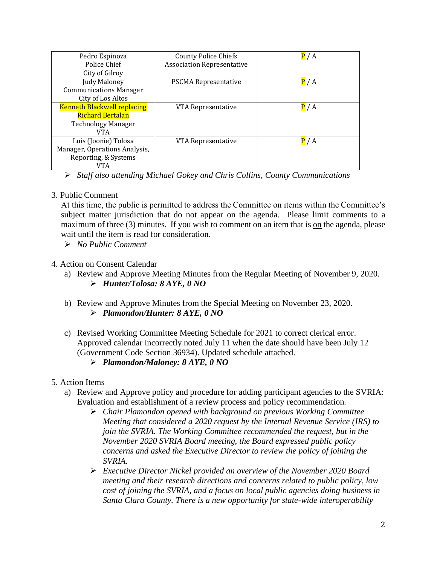| Pedro Espinoza                     | <b>County Police Chiefs</b>       | P/A |
|------------------------------------|-----------------------------------|-----|
| Police Chief                       | <b>Association Representative</b> |     |
| City of Gilroy                     |                                   |     |
| Judy Maloney                       | <b>PSCMA Representative</b>       | P/A |
| <b>Communications Manager</b>      |                                   |     |
| City of Los Altos                  |                                   |     |
| <b>Kenneth Blackwell replacing</b> | VTA Representative                | P/A |
| <b>Richard Bertalan</b>            |                                   |     |
| <b>Technology Manager</b>          |                                   |     |
| VTA                                |                                   |     |
| Luis (Joonie) Tolosa               | VTA Representative                | P/A |
| Manager, Operations Analysis,      |                                   |     |
| Reporting, & Systems               |                                   |     |
| VTA                                |                                   |     |

➢ *Staff also attending Michael Gokey and Chris Collins, County Communications* 

#### 3. Public Comment

At this time, the public is permitted to address the Committee on items within the Committee's subject matter jurisdiction that do not appear on the agenda. Please limit comments to a maximum of three (3) minutes. If you wish to comment on an item that is on the agenda, please wait until the item is read for consideration.

➢ *No Public Comment*

#### 4. Action on Consent Calendar

- a) Review and Approve Meeting Minutes from the Regular Meeting of November 9, 2020. ➢ *Hunter/Tolosa: 8 AYE, 0 NO*
- b) Review and Approve Minutes from the Special Meeting on November 23, 2020. ➢ *Plamondon/Hunter: 8 AYE, 0 NO*
- c) Revised Working Committee Meeting Schedule for 2021 to correct clerical error. Approved calendar incorrectly noted July 11 when the date should have been July 12 (Government Code Section 36934). Updated schedule attached.

## ➢ *Plamondon/Maloney: 8 AYE, 0 NO*

- 5. Action Items
	- a) Review and Approve policy and procedure for adding participant agencies to the SVRIA: Evaluation and establishment of a review process and policy recommendation.
		- ➢ *Chair Plamondon opened with background on previous Working Committee Meeting that considered a 2020 request by the Internal Revenue Service (IRS) to join the SVRIA. The Working Committee recommended the request, but in the November 2020 SVRIA Board meeting, the Board expressed public policy concerns and asked the Executive Director to review the policy of joining the SVRIA.*
		- ➢ *Executive Director Nickel provided an overview of the November 2020 Board meeting and their research directions and concerns related to public policy, low cost of joining the SVRIA, and a focus on local public agencies doing business in Santa Clara County. There is a new opportunity for state-wide interoperability*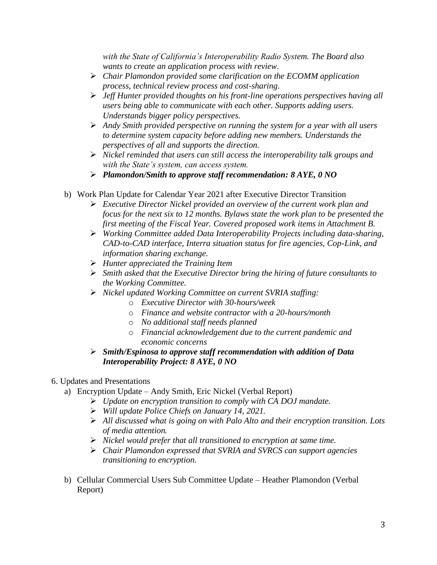*with the State of California's Interoperability Radio System. The Board also wants to create an application process with review.*

- ➢ *Chair Plamondon provided some clarification on the ECOMM application process, technical review process and cost-sharing.*
- ➢ *Jeff Hunter provided thoughts on his front-line operations perspectives having all users being able to communicate with each other. Supports adding users. Understands bigger policy perspectives.*
- ➢ *Andy Smith provided perspective on running the system for a year with all users to determine system capacity before adding new members. Understands the perspectives of all and supports the direction.*
- ➢ *Nickel reminded that users can still access the interoperability talk groups and with the State's system, can access system.*
- ➢ *Plamondon/Smith to approve staff recommendation: 8 AYE, 0 NO*
- b) Work Plan Update for Calendar Year 2021 after Executive Director Transition
	- ➢ *Executive Director Nickel provided an overview of the current work plan and focus for the next six to 12 months. Bylaws state the work plan to be presented the first meeting of the Fiscal Year. Covered proposed work items in Attachment B.*
	- ➢ *Working Committee added Data Interoperability Projects including data-sharing, CAD-to-CAD interface, Interra situation status for fire agencies, Cop-Link, and information sharing exchange.*
	- ➢ *Hunter appreciated the Training Item*
	- ➢ *Smith asked that the Executive Director bring the hiring of future consultants to the Working Committee.*
	- ➢ *Nickel updated Working Committee on current SVRIA staffing:*
		- o *Executive Director with 30-hours/week*
		- o *Finance and website contractor with a 20-hours/month*
		- o *No additional staff needs planned*
		- o *Financial acknowledgement due to the current pandemic and economic concerns*
	- ➢ *Smith/Espinosa to approve staff recommendation with addition of Data Interoperability Project: 8 AYE, 0 NO*

## 6. Updates and Presentations

- a) Encryption Update Andy Smith, Eric Nickel (Verbal Report)
	- ➢ *Update on encryption transition to comply with CA DOJ mandate.*
	- ➢ *Will update Police Chiefs on January 14, 2021.*
	- ➢ *All discussed what is going on with Palo Alto and their encryption transition. Lots of media attention.*
	- ➢ *Nickel would prefer that all transitioned to encryption at same time.*
	- ➢ *Chair Plamondon expressed that SVRIA and SVRCS can support agencies transitioning to encryption.*
- b) Cellular Commercial Users Sub Committee Update Heather Plamondon (Verbal Report)